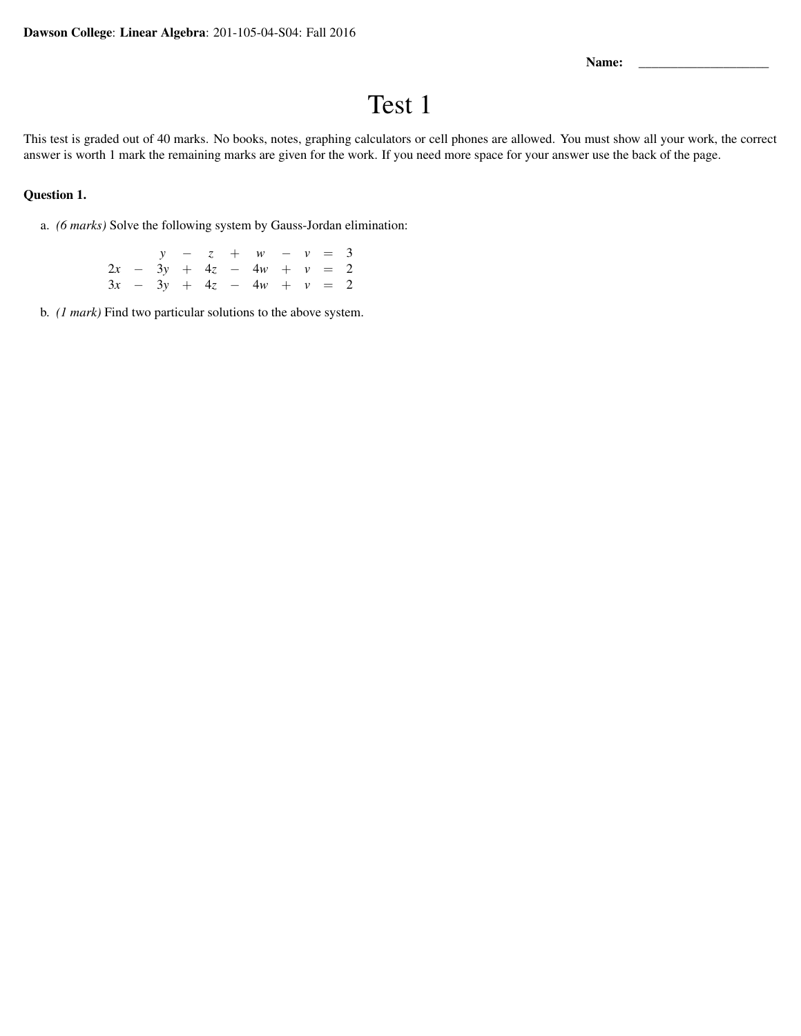Name:

## Test 1

This test is graded out of 40 marks. No books, notes, graphing calculators or cell phones are allowed. You must show all your work, the correct answer is worth 1 mark the remaining marks are given for the work. If you need more space for your answer use the back of the page.

## Question 1.

a. *(6 marks)* Solve the following system by Gauss-Jordan elimination:

|  |  |  | $y - z + w - v = 3$         |  |  |
|--|--|--|-----------------------------|--|--|
|  |  |  | $2x - 3y + 4z - 4w + v = 2$ |  |  |
|  |  |  | $3x - 3y + 4z - 4w + v = 2$ |  |  |

b. *(1 mark)* Find two particular solutions to the above system.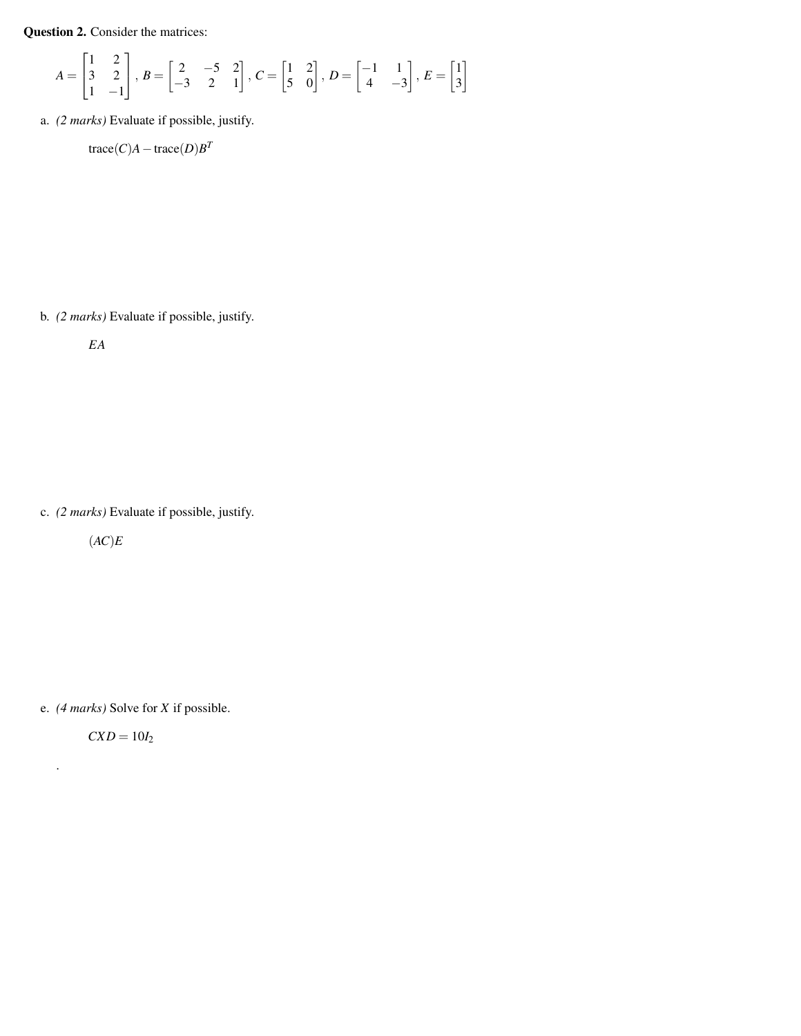Question 2. Consider the matrices:

$$
A = \begin{bmatrix} 1 & 2 \\ 3 & 2 \\ 1 & -1 \end{bmatrix}, B = \begin{bmatrix} 2 & -5 & 2 \\ -3 & 2 & 1 \end{bmatrix}, C = \begin{bmatrix} 1 & 2 \\ 5 & 0 \end{bmatrix}, D = \begin{bmatrix} -1 & 1 \\ 4 & -3 \end{bmatrix}, E = \begin{bmatrix} 1 \\ 3 \end{bmatrix}
$$

a. *(2 marks)* Evaluate if possible, justify.

 $trace(C)A - trace(D)B^T$ 

b. *(2 marks)* Evaluate if possible, justify.

*EA*

c. *(2 marks)* Evaluate if possible, justify.

(*AC*)*E*

e. *(4 marks)* Solve for *X* if possible.

 $CXD = 10I_2$ 

.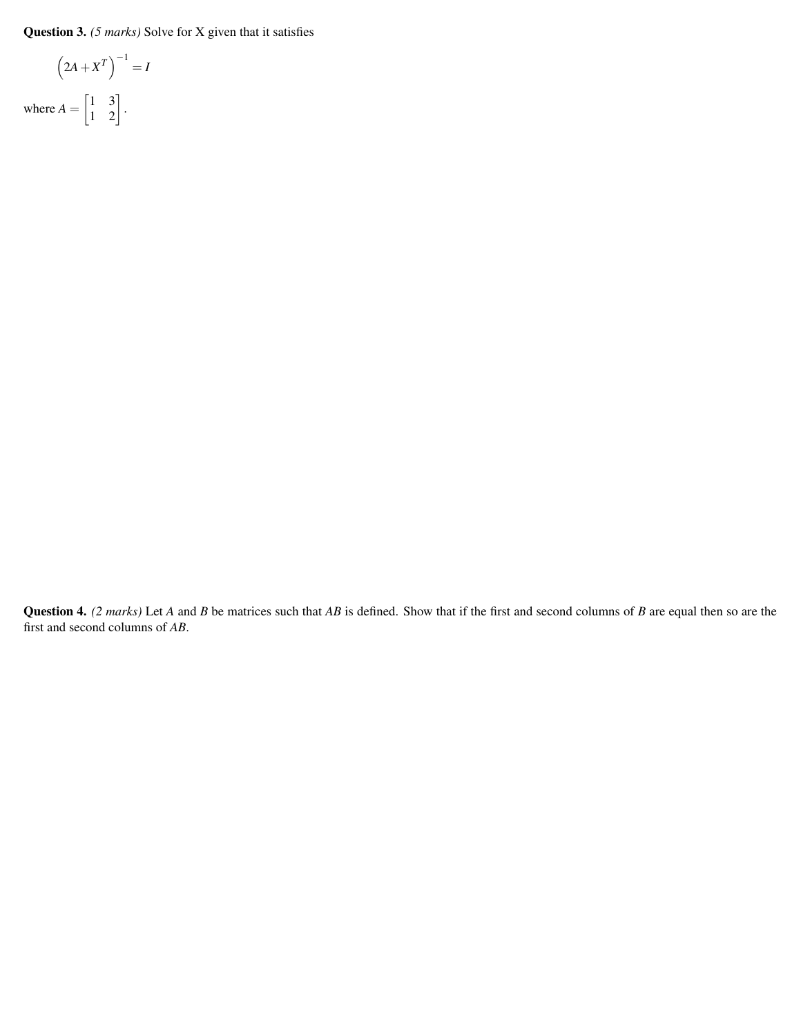Question 3. *(5 marks)* Solve for X given that it satisfies

$$
\left(2A + X^{T}\right)^{-1} = I
$$
  
where  $A = \begin{bmatrix} 1 & 3 \\ 1 & 2 \end{bmatrix}$ .

Question 4. *(2 marks)* Let *A* and *B* be matrices such that *AB* is defined. Show that if the first and second columns of *B* are equal then so are the first and second columns of *AB*.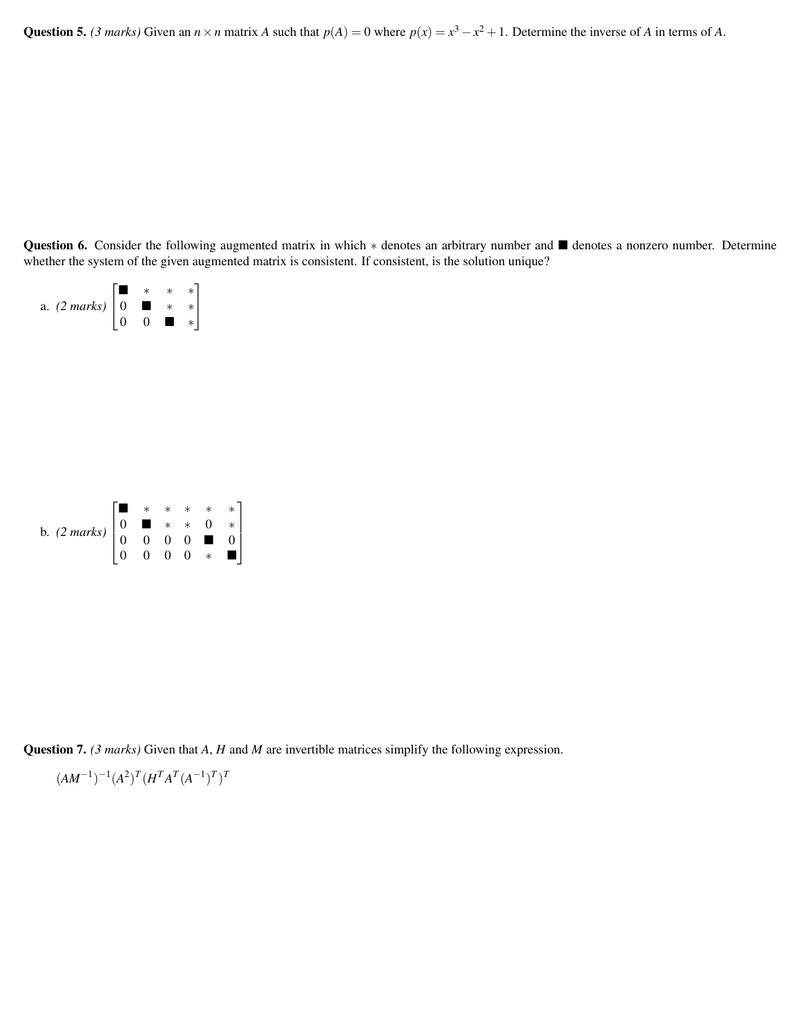Question 5. *(3 marks)* Given an  $n \times n$  matrix *A* such that  $p(A) = 0$  where  $p(x) = x^3 - x^2 + 1$ . Determine the inverse of *A* in terms of *A*.

Question 6. Consider the following augmented matrix in which \* denotes an arbitrary number and ■ denotes a nonzero number. Determine whether the system of the given augmented matrix is consistent. If consistent, is the solution unique?



Question 7. *(3 marks)* Given that *A*, *H* and *M* are invertible matrices simplify the following expression.

$$
(AM^{-1})^{-1}(A^2)^T(H^T A^T (A^{-1})^T)^T
$$